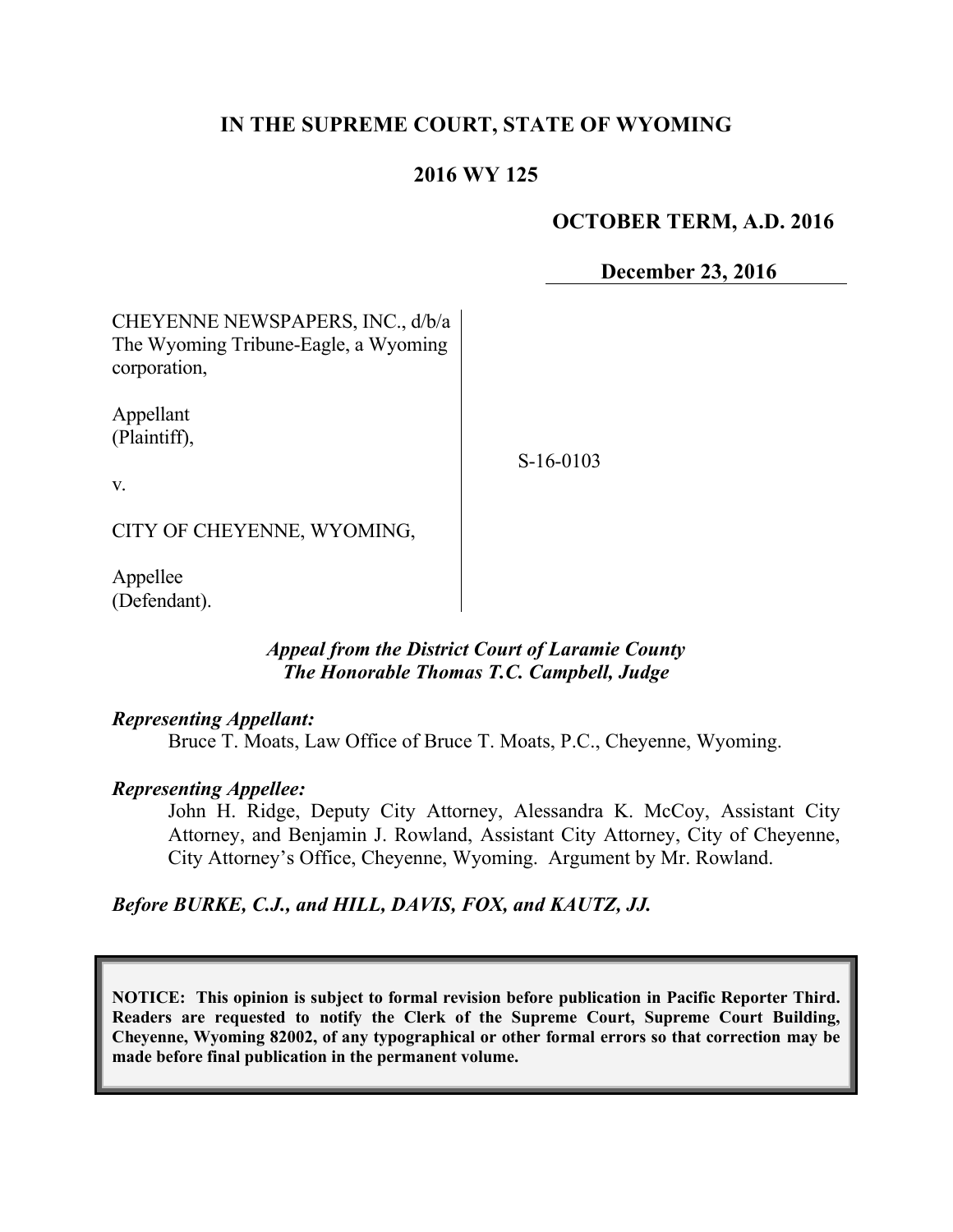# **IN THE SUPREME COURT, STATE OF WYOMING**

## **2016 WY 125**

## **OCTOBER TERM, A.D. 2016**

**December 23, 2016**

CHEYENNE NEWSPAPERS, INC., d/b/a The Wyoming Tribune-Eagle, a Wyoming corporation,

Appellant (Plaintiff),

S-16-0103

v.

CITY OF CHEYENNE, WYOMING,

Appellee (Defendant).

## *Appeal from the District Court of Laramie County The Honorable Thomas T.C. Campbell, Judge*

#### *Representing Appellant:*

Bruce T. Moats, Law Office of Bruce T. Moats, P.C., Cheyenne, Wyoming.

## *Representing Appellee:*

John H. Ridge, Deputy City Attorney, Alessandra K. McCoy, Assistant City Attorney, and Benjamin J. Rowland, Assistant City Attorney, City of Cheyenne, City Attorney's Office, Cheyenne, Wyoming. Argument by Mr. Rowland.

## *Before BURKE, C.J., and HILL, DAVIS, FOX, and KAUTZ, JJ.*

**NOTICE: This opinion is subject to formal revision before publication in Pacific Reporter Third. Readers are requested to notify the Clerk of the Supreme Court, Supreme Court Building, Cheyenne, Wyoming 82002, of any typographical or other formal errors so that correction may be made before final publication in the permanent volume.**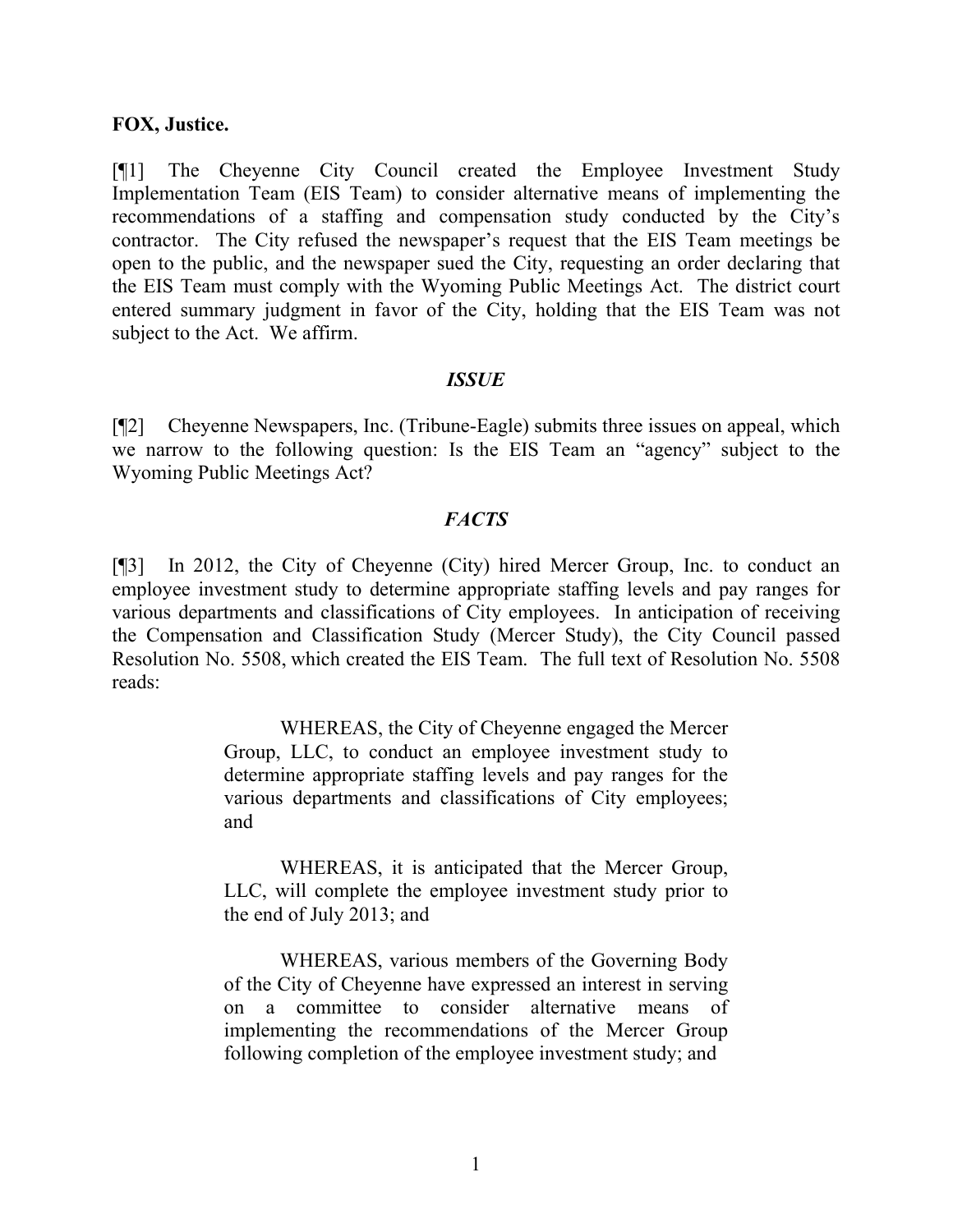#### **FOX, Justice.**

[¶1] The Cheyenne City Council created the Employee Investment Study Implementation Team (EIS Team) to consider alternative means of implementing the recommendations of a staffing and compensation study conducted by the City's contractor. The City refused the newspaper's request that the EIS Team meetings be open to the public, and the newspaper sued the City, requesting an order declaring that the EIS Team must comply with the Wyoming Public Meetings Act. The district court entered summary judgment in favor of the City, holding that the EIS Team was not subject to the Act. We affirm.

#### *ISSUE*

[¶2] Cheyenne Newspapers, Inc. (Tribune-Eagle) submits three issues on appeal, which we narrow to the following question: Is the EIS Team an "agency" subject to the Wyoming Public Meetings Act?

#### *FACTS*

[¶3] In 2012, the City of Cheyenne (City) hired Mercer Group, Inc. to conduct an employee investment study to determine appropriate staffing levels and pay ranges for various departments and classifications of City employees. In anticipation of receiving the Compensation and Classification Study (Mercer Study), the City Council passed Resolution No. 5508, which created the EIS Team. The full text of Resolution No. 5508 reads:

> WHEREAS, the City of Cheyenne engaged the Mercer Group, LLC, to conduct an employee investment study to determine appropriate staffing levels and pay ranges for the various departments and classifications of City employees; and

> WHEREAS, it is anticipated that the Mercer Group, LLC, will complete the employee investment study prior to the end of July 2013; and

> WHEREAS, various members of the Governing Body of the City of Cheyenne have expressed an interest in serving on a committee to consider alternative means of implementing the recommendations of the Mercer Group following completion of the employee investment study; and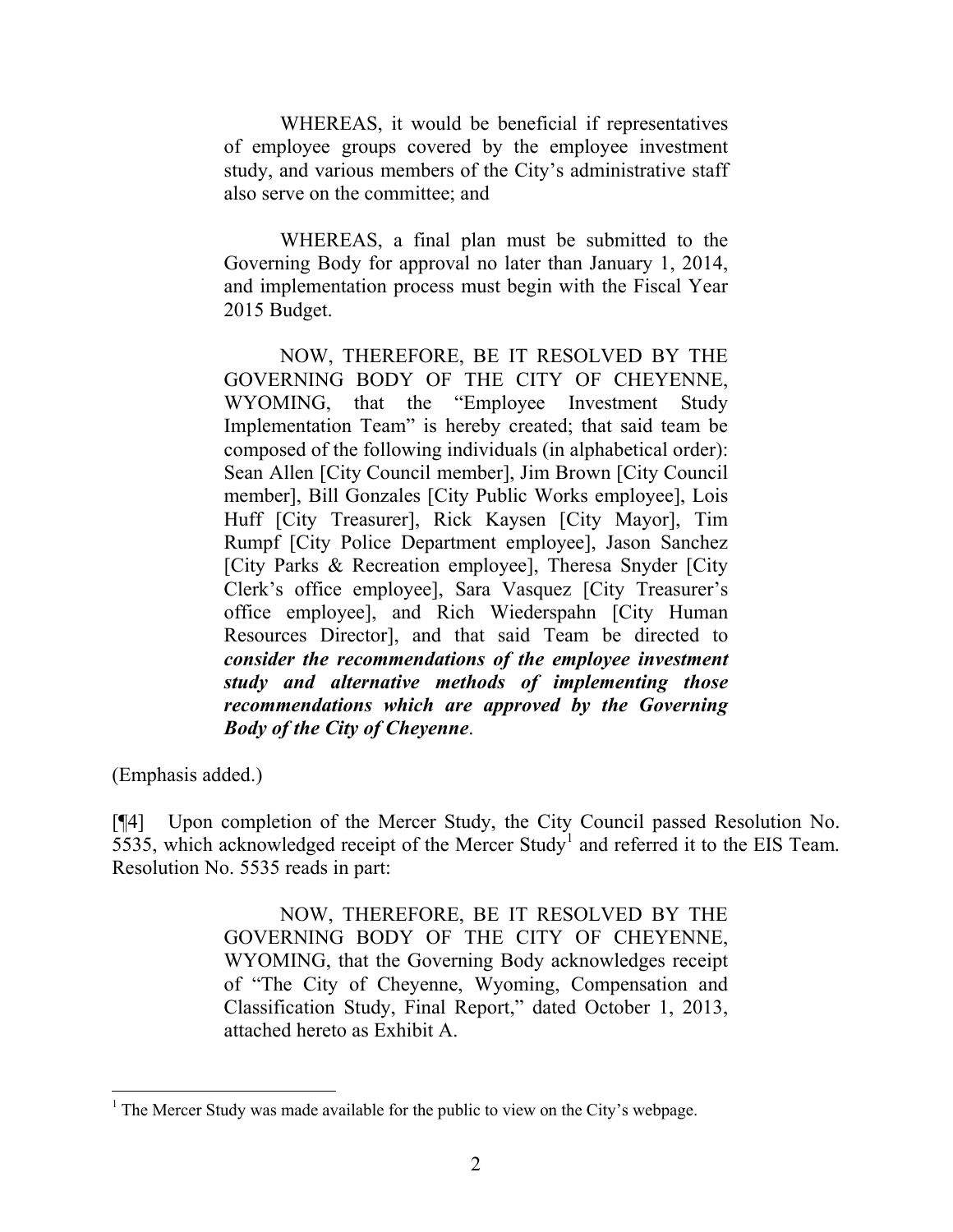WHEREAS, it would be beneficial if representatives of employee groups covered by the employee investment study, and various members of the City's administrative staff also serve on the committee; and

WHEREAS, a final plan must be submitted to the Governing Body for approval no later than January 1, 2014, and implementation process must begin with the Fiscal Year 2015 Budget.

NOW, THEREFORE, BE IT RESOLVED BY THE GOVERNING BODY OF THE CITY OF CHEYENNE, WYOMING, that the "Employee Investment Study Implementation Team" is hereby created; that said team be composed of the following individuals (in alphabetical order): Sean Allen [City Council member], Jim Brown [City Council member], Bill Gonzales [City Public Works employee], Lois Huff [City Treasurer], Rick Kaysen [City Mayor], Tim Rumpf [City Police Department employee], Jason Sanchez [City Parks & Recreation employee], Theresa Snyder [City Clerk's office employee], Sara Vasquez [City Treasurer's office employee], and Rich Wiederspahn [City Human Resources Director], and that said Team be directed to *consider the recommendations of the employee investment study and alternative methods of implementing those recommendations which are approved by the Governing Body of the City of Cheyenne*.

(Emphasis added.)

[¶4] Upon completion of the Mercer Study, the City Council passed Resolution No.  $5535$ , which acknowledged receipt of the Mercer Study<sup>1</sup> and referred it to the EIS Team. Resolution No. 5535 reads in part:

> NOW, THEREFORE, BE IT RESOLVED BY THE GOVERNING BODY OF THE CITY OF CHEYENNE, WYOMING, that the Governing Body acknowledges receipt of "The City of Cheyenne, Wyoming, Compensation and Classification Study, Final Report," dated October 1, 2013, attached hereto as Exhibit A.

 <sup>1</sup> The Mercer Study was made available for the public to view on the City's webpage.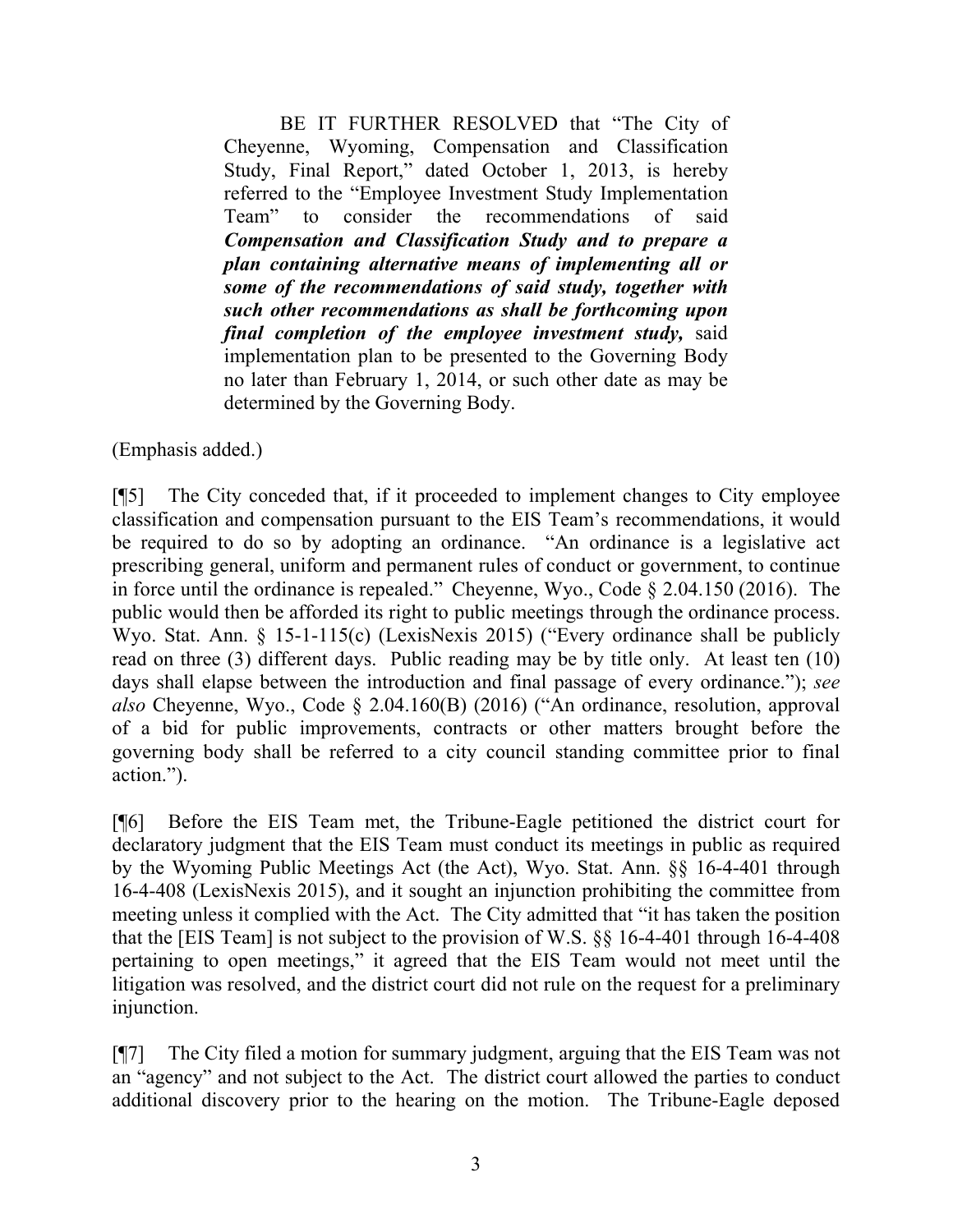BE IT FURTHER RESOLVED that "The City of Cheyenne, Wyoming, Compensation and Classification Study, Final Report," dated October 1, 2013, is hereby referred to the "Employee Investment Study Implementation Team" to consider the recommendations of said *Compensation and Classification Study and to prepare a plan containing alternative means of implementing all or some of the recommendations of said study, together with such other recommendations as shall be forthcoming upon final completion of the employee investment study,* said implementation plan to be presented to the Governing Body no later than February 1, 2014, or such other date as may be determined by the Governing Body.

(Emphasis added.)

[¶5] The City conceded that, if it proceeded to implement changes to City employee classification and compensation pursuant to the EIS Team's recommendations, it would be required to do so by adopting an ordinance. "An ordinance is a legislative act prescribing general, uniform and permanent rules of conduct or government, to continue in force until the ordinance is repealed." Cheyenne, Wyo., Code § 2.04.150 (2016).The public would then be afforded its right to public meetings through the ordinance process. Wyo. Stat. Ann. § 15-1-115(c) (LexisNexis 2015) ("Every ordinance shall be publicly read on three (3) different days. Public reading may be by title only. At least ten (10) days shall elapse between the introduction and final passage of every ordinance."); *see also* Cheyenne, Wyo., Code § 2.04.160(B) (2016) ("An ordinance, resolution, approval of a bid for public improvements, contracts or other matters brought before the governing body shall be referred to a city council standing committee prior to final action.").

[¶6] Before the EIS Team met, the Tribune-Eagle petitioned the district court for declaratory judgment that the EIS Team must conduct its meetings in public as required by the Wyoming Public Meetings Act (the Act), Wyo. Stat. Ann. §§ 16-4-401 through 16-4-408 (LexisNexis 2015), and it sought an injunction prohibiting the committee from meeting unless it complied with the Act. The City admitted that "it has taken the position that the [EIS Team] is not subject to the provision of W.S. §§ 16-4-401 through 16-4-408 pertaining to open meetings," it agreed that the EIS Team would not meet until the litigation was resolved, and the district court did not rule on the request for a preliminary injunction.

[¶7] The City filed a motion for summary judgment, arguing that the EIS Team was not an "agency" and not subject to the Act. The district court allowed the parties to conduct additional discovery prior to the hearing on the motion. The Tribune-Eagle deposed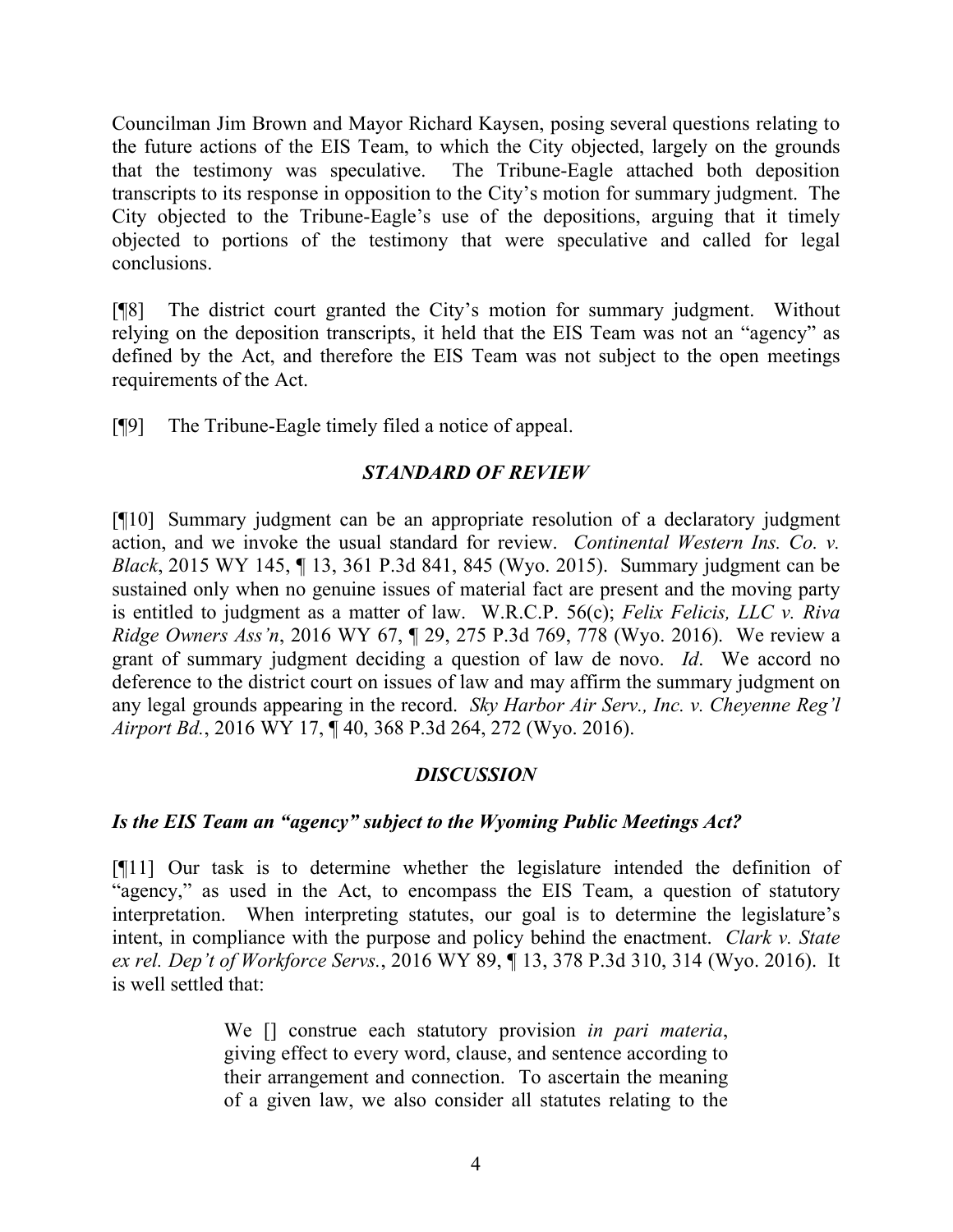Councilman Jim Brown and Mayor Richard Kaysen, posing several questions relating to the future actions of the EIS Team, to which the City objected, largely on the grounds that the testimony was speculative. The Tribune-Eagle attached both deposition transcripts to its response in opposition to the City's motion for summary judgment. The City objected to the Tribune-Eagle's use of the depositions, arguing that it timely objected to portions of the testimony that were speculative and called for legal conclusions.

[¶8] The district court granted the City's motion for summary judgment. Without relying on the deposition transcripts, it held that the EIS Team was not an "agency" as defined by the Act, and therefore the EIS Team was not subject to the open meetings requirements of the Act.

[¶9] The Tribune-Eagle timely filed a notice of appeal.

# *STANDARD OF REVIEW*

[¶10] Summary judgment can be an appropriate resolution of a declaratory judgment action, and we invoke the usual standard for review. *Continental Western Ins. Co. v. Black*, 2015 WY 145, ¶ 13, 361 P.3d 841, 845 (Wyo. 2015). Summary judgment can be sustained only when no genuine issues of material fact are present and the moving party is entitled to judgment as a matter of law. W.R.C.P. 56(c); *Felix Felicis, LLC v. Riva Ridge Owners Ass'n*, 2016 WY 67, ¶ 29, 275 P.3d 769, 778 (Wyo. 2016). We review a grant of summary judgment deciding a question of law de novo. *Id*. We accord no deference to the district court on issues of law and may affirm the summary judgment on any legal grounds appearing in the record. *Sky Harbor Air Serv., Inc. v. Cheyenne Reg'l Airport Bd.*, 2016 WY 17, ¶ 40, 368 P.3d 264, 272 (Wyo. 2016).

## *DISCUSSION*

# *Is the EIS Team an "agency" subject to the Wyoming Public Meetings Act?*

[¶11] Our task is to determine whether the legislature intended the definition of "agency," as used in the Act, to encompass the EIS Team, a question of statutory interpretation. When interpreting statutes, our goal is to determine the legislature's intent, in compliance with the purpose and policy behind the enactment. *Clark v. State ex rel. Dep't of Workforce Servs.*, 2016 WY 89, ¶ 13, 378 P.3d 310, 314 (Wyo. 2016). It is well settled that:

> We [] construe each statutory provision *in pari materia*, giving effect to every word, clause, and sentence according to their arrangement and connection. To ascertain the meaning of a given law, we also consider all statutes relating to the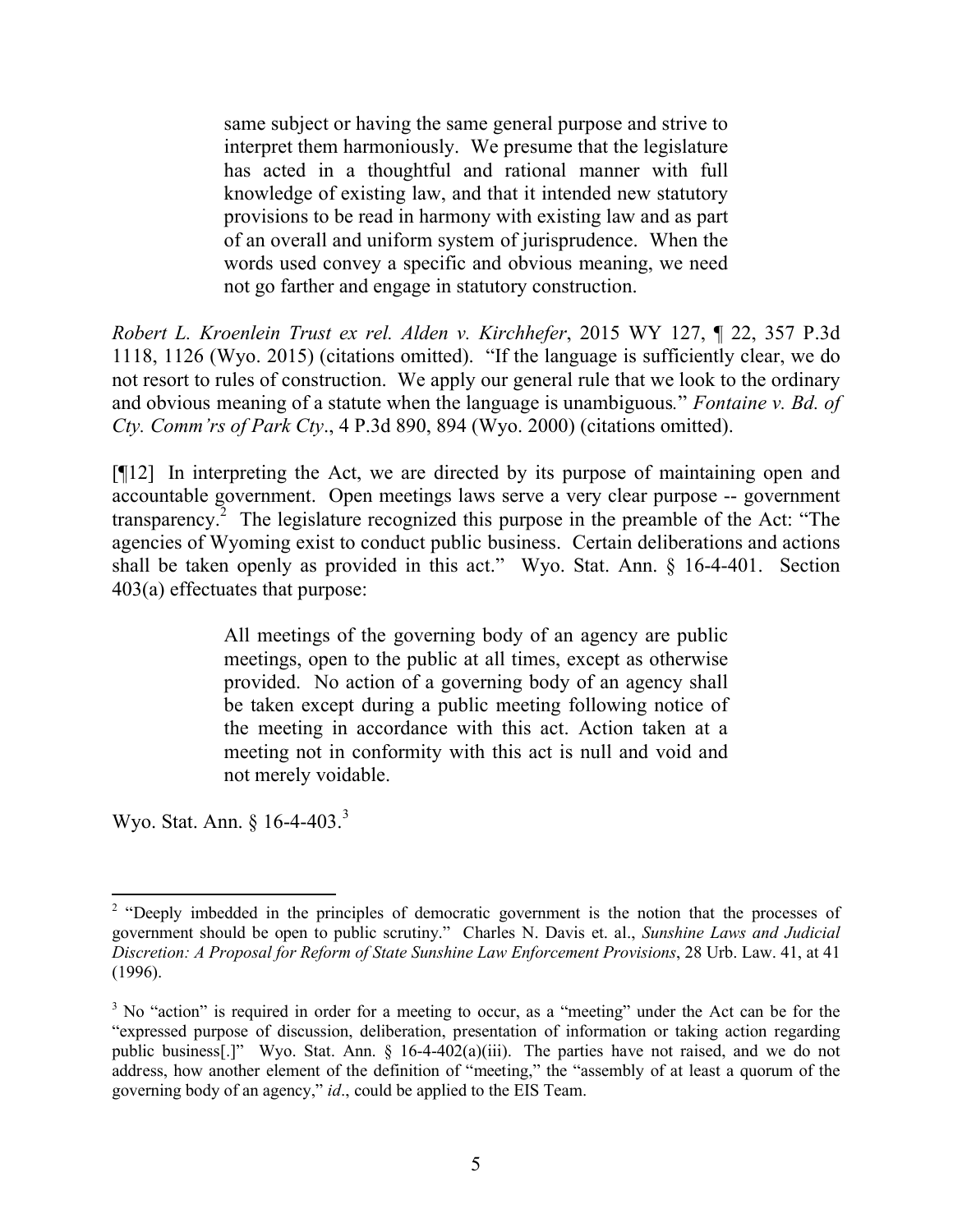same subject or having the same general purpose and strive to interpret them harmoniously. We presume that the legislature has acted in a thoughtful and rational manner with full knowledge of existing law, and that it intended new statutory provisions to be read in harmony with existing law and as part of an overall and uniform system of jurisprudence. When the words used convey a specific and obvious meaning, we need not go farther and engage in statutory construction.

*Robert L. Kroenlein Trust ex rel. Alden v. Kirchhefer*, 2015 WY 127, ¶ 22, 357 P.3d 1118, 1126 (Wyo. 2015) (citations omitted). "If the language is sufficiently clear, we do not resort to rules of construction. We apply our general rule that we look to the ordinary and obvious meaning of a statute when the language is unambiguous*.*" *Fontaine v. Bd. of Cty. Comm'rs of Park Cty*., 4 P.3d 890, 894 (Wyo. 2000) (citations omitted).

[¶12] In interpreting the Act, we are directed by its purpose of maintaining open and accountable government. Open meetings laws serve a very clear purpose -- government transparency.<sup>2</sup> The legislature recognized this purpose in the preamble of the Act: "The agencies of Wyoming exist to conduct public business. Certain deliberations and actions shall be taken openly as provided in this act." Wyo. Stat. Ann. § 16-4-401. Section 403(a) effectuates that purpose:

> All meetings of the governing body of an agency are public meetings, open to the public at all times, except as otherwise provided. No action of a governing body of an agency shall be taken except during a public meeting following notice of the meeting in accordance with this act. Action taken at a meeting not in conformity with this act is null and void and not merely voidable.

Wyo. Stat. Ann. § 16-4-403.<sup>3</sup>

<sup>&</sup>lt;sup>2</sup> "Deeply imbedded in the principles of democratic government is the notion that the processes of government should be open to public scrutiny." Charles N. Davis et. al., *Sunshine Laws and Judicial Discretion: A Proposal for Reform of State Sunshine Law Enforcement Provisions*, 28 Urb. Law. 41, at 41 (1996).

<sup>&</sup>lt;sup>3</sup> No "action" is required in order for a meeting to occur, as a "meeting" under the Act can be for the "expressed purpose of discussion, deliberation, presentation of information or taking action regarding public business[.]" Wyo. Stat. Ann. § 16-4-402(a)(iii). The parties have not raised, and we do not address, how another element of the definition of "meeting," the "assembly of at least a quorum of the governing body of an agency," *id*., could be applied to the EIS Team.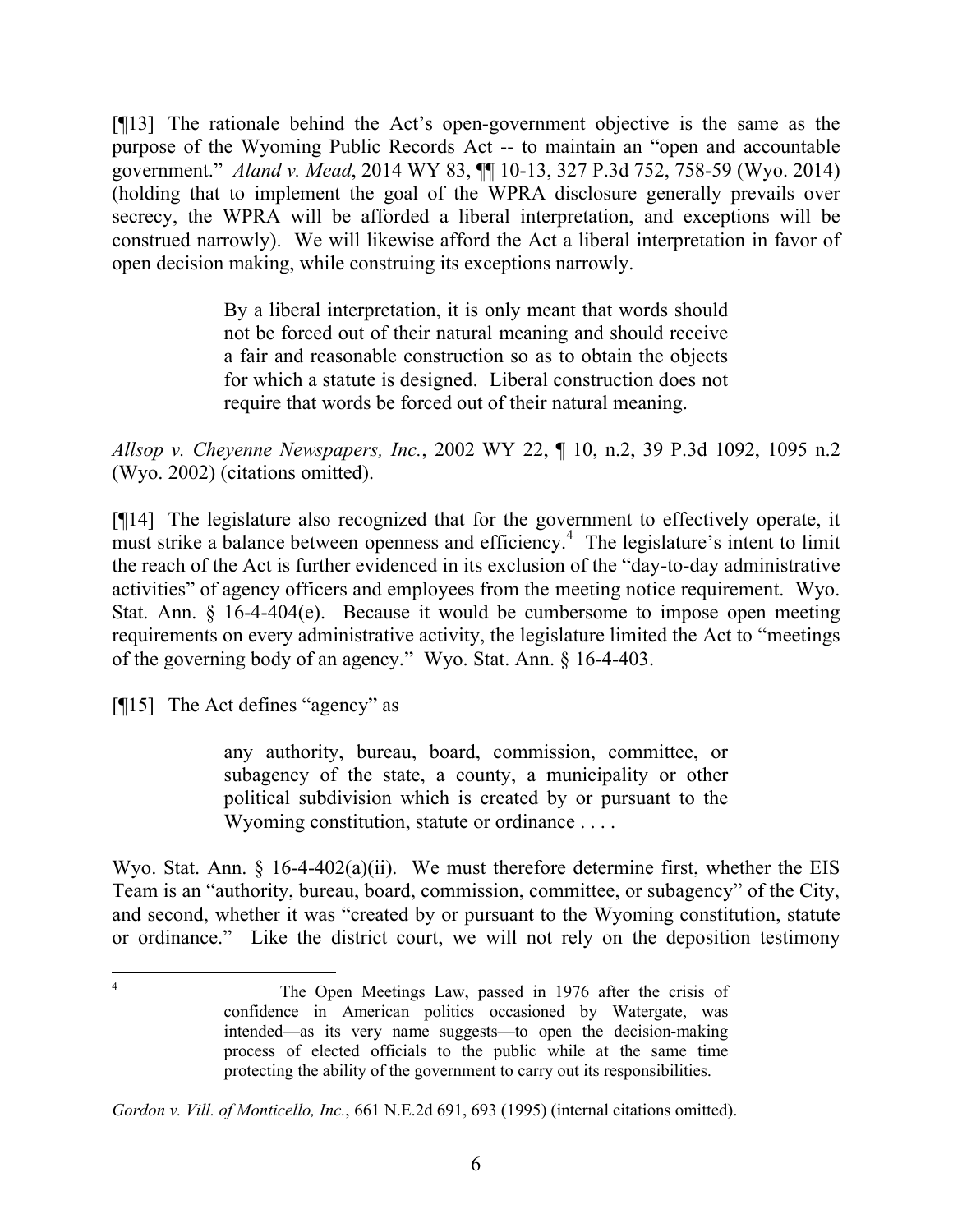[¶13] The rationale behind the Act's open-government objective is the same as the purpose of the Wyoming Public Records Act -- to maintain an "open and accountable government." *Aland v. Mead*, 2014 WY 83, ¶¶ 10-13, 327 P.3d 752, 758-59 (Wyo. 2014) (holding that to implement the goal of the WPRA disclosure generally prevails over secrecy, the WPRA will be afforded a liberal interpretation, and exceptions will be construed narrowly). We will likewise afford the Act a liberal interpretation in favor of open decision making, while construing its exceptions narrowly.

> By a liberal interpretation, it is only meant that words should not be forced out of their natural meaning and should receive a fair and reasonable construction so as to obtain the objects for which a statute is designed. Liberal construction does not require that words be forced out of their natural meaning.

*Allsop v. Cheyenne Newspapers, Inc.*, 2002 WY 22, ¶ 10, n.2, 39 P.3d 1092, 1095 n.2 (Wyo. 2002) (citations omitted).

[¶14] The legislature also recognized that for the government to effectively operate, it must strike a balance between openness and efficiency.<sup>4</sup> The legislature's intent to limit the reach of the Act is further evidenced in its exclusion of the "day-to-day administrative activities" of agency officers and employees from the meeting notice requirement. Wyo. Stat. Ann. § 16-4-404(e). Because it would be cumbersome to impose open meeting requirements on every administrative activity, the legislature limited the Act to "meetings of the governing body of an agency." Wyo. Stat. Ann. § 16-4-403.

[¶15] The Act defines "agency" as

any authority, bureau, board, commission, committee, or subagency of the state, a county, a municipality or other political subdivision which is created by or pursuant to the Wyoming constitution, statute or ordinance . . . .

Wyo. Stat. Ann. § 16-4-402(a)(ii). We must therefore determine first, whether the EIS Team is an "authority, bureau, board, commission, committee, or subagency" of the City, and second, whether it was "created by or pursuant to the Wyoming constitution, statute or ordinance." Like the district court, we will not rely on the deposition testimony

*Gordon v. Vill. of Monticello, Inc.*, 661 N.E.2d 691, 693 (1995) (internal citations omitted).

The Open Meetings Law, passed in 1976 after the crisis of confidence in American politics occasioned by Watergate, was intended—as its very name suggests—to open the decision-making process of elected officials to the public while at the same time protecting the ability of the government to carry out its responsibilities.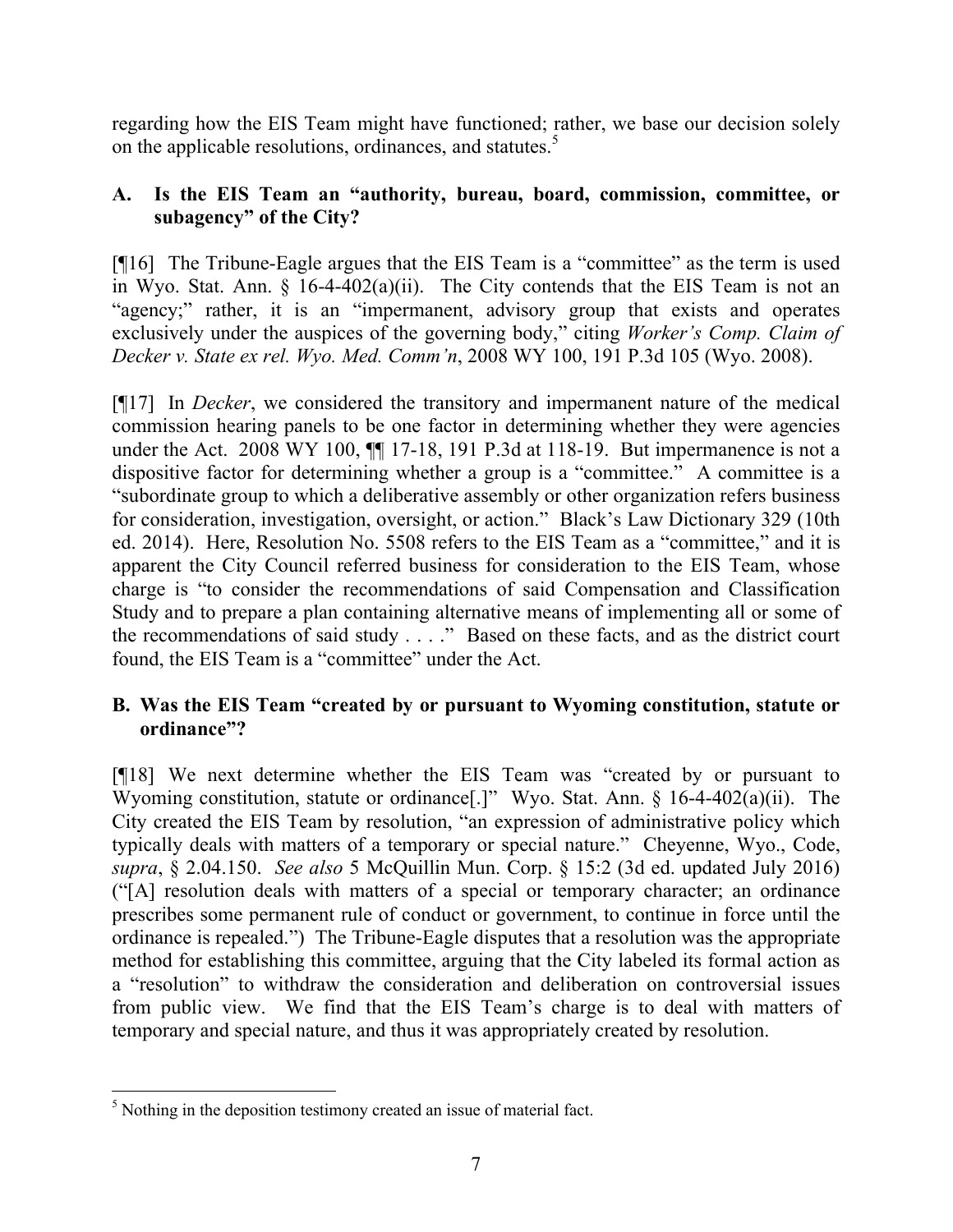regarding how the EIS Team might have functioned; rather, we base our decision solely on the applicable resolutions, ordinances, and statutes.<sup>5</sup>

# **A. Is the EIS Team an "authority, bureau, board, commission, committee, or subagency" of the City?**

[¶16] The Tribune-Eagle argues that the EIS Team is a "committee" as the term is used in Wyo. Stat. Ann.  $\S$  16-4-402(a)(ii). The City contends that the EIS Team is not an "agency;" rather, it is an "impermanent, advisory group that exists and operates exclusively under the auspices of the governing body," citing *Worker's Comp. Claim of Decker v. State ex rel. Wyo. Med. Comm'n*, 2008 WY 100, 191 P.3d 105 (Wyo. 2008).

[¶17] In *Decker*, we considered the transitory and impermanent nature of the medical commission hearing panels to be one factor in determining whether they were agencies under the Act. 2008 WY 100,  $\P$  17-18, 191 P.3d at 118-19. But impermanence is not a dispositive factor for determining whether a group is a "committee." A committee is a "subordinate group to which a deliberative assembly or other organization refers business for consideration, investigation, oversight, or action." Black's Law Dictionary 329 (10th ed. 2014). Here, Resolution No. 5508 refers to the EIS Team as a "committee," and it is apparent the City Council referred business for consideration to the EIS Team, whose charge is "to consider the recommendations of said Compensation and Classification Study and to prepare a plan containing alternative means of implementing all or some of the recommendations of said study . . . ." Based on these facts, and as the district court found, the EIS Team is a "committee" under the Act.

# **B. Was the EIS Team "created by or pursuant to Wyoming constitution, statute or ordinance"?**

[¶18] We next determine whether the EIS Team was "created by or pursuant to Wyoming constitution, statute or ordinance[.]" Wyo. Stat. Ann. § 16-4-402(a)(ii). The City created the EIS Team by resolution, "an expression of administrative policy which typically deals with matters of a temporary or special nature." Cheyenne, Wyo., Code, *supra*, § 2.04.150. *See also* 5 McQuillin Mun. Corp. § 15:2 (3d ed. updated July 2016) ("[A] resolution deals with matters of a special or temporary character; an ordinance prescribes some permanent rule of conduct or government, to continue in force until the ordinance is repealed.") The Tribune-Eagle disputes that a resolution was the appropriate method for establishing this committee, arguing that the City labeled its formal action as a "resolution" to withdraw the consideration and deliberation on controversial issues from public view. We find that the EIS Team's charge is to deal with matters of temporary and special nature, and thus it was appropriately created by resolution.

 <sup>5</sup> Nothing in the deposition testimony created an issue of material fact.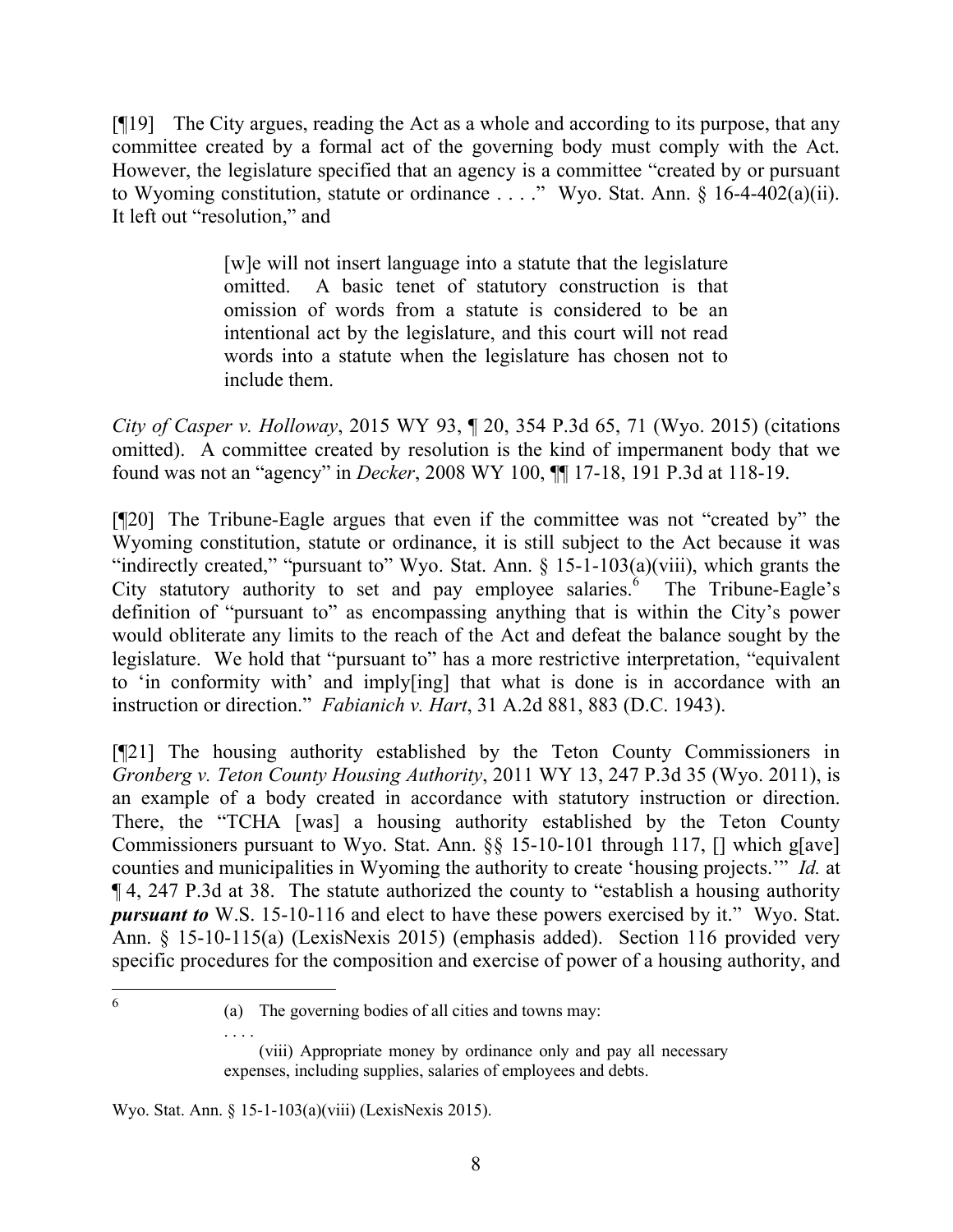[¶19] The City argues, reading the Act as a whole and according to its purpose, that any committee created by a formal act of the governing body must comply with the Act. However, the legislature specified that an agency is a committee "created by or pursuant to Wyoming constitution, statute or ordinance . . . ." Wyo. Stat. Ann. § 16-4-402(a)(ii). It left out "resolution," and

> [w]e will not insert language into a statute that the legislature omitted. A basic tenet of statutory construction is that omission of words from a statute is considered to be an intentional act by the legislature, and this court will not read words into a statute when the legislature has chosen not to include them.

*City of Casper v. Holloway*, 2015 WY 93, ¶ 20, 354 P.3d 65, 71 (Wyo. 2015) (citations omitted). A committee created by resolution is the kind of impermanent body that we found was not an "agency" in *Decker*, 2008 WY 100, ¶¶ 17-18, 191 P.3d at 118-19.

[¶20] The Tribune-Eagle argues that even if the committee was not "created by" the Wyoming constitution, statute or ordinance, it is still subject to the Act because it was "indirectly created," "pursuant to" Wyo. Stat. Ann. § 15-1-103(a)(viii), which grants the City statutory authority to set and pay employee salaries. The Tribune-Eagle's definition of "pursuant to" as encompassing anything that is within the City's power would obliterate any limits to the reach of the Act and defeat the balance sought by the legislature. We hold that "pursuant to" has a more restrictive interpretation, "equivalent to 'in conformity with' and imply[ing] that what is done is in accordance with an instruction or direction." *Fabianich v. Hart*, 31 A.2d 881, 883 (D.C. 1943).

[¶21] The housing authority established by the Teton County Commissioners in *Gronberg v. Teton County Housing Authority*, 2011 WY 13, 247 P.3d 35 (Wyo. 2011), is an example of a body created in accordance with statutory instruction or direction. There, the "TCHA [was] a housing authority established by the Teton County Commissioners pursuant to Wyo. Stat. Ann. §§ 15-10-101 through 117, [] which g[ave] counties and municipalities in Wyoming the authority to create 'housing projects.'" *Id.* at ¶ 4, 247 P.3d at 38. The statute authorized the county to "establish a housing authority *pursuant to* W.S. 15-10-116 and elect to have these powers exercised by it." Wyo. Stat. Ann. § 15-10-115(a) (LexisNexis 2015) (emphasis added). Section 116 provided very specific procedures for the composition and exercise of power of a housing authority, and

 6

Wyo. Stat. Ann. § 15-1-103(a)(viii) (LexisNexis 2015).

. . . .

<sup>(</sup>a) The governing bodies of all cities and towns may:

<sup>(</sup>viii) Appropriate money by ordinance only and pay all necessary expenses, including supplies, salaries of employees and debts.